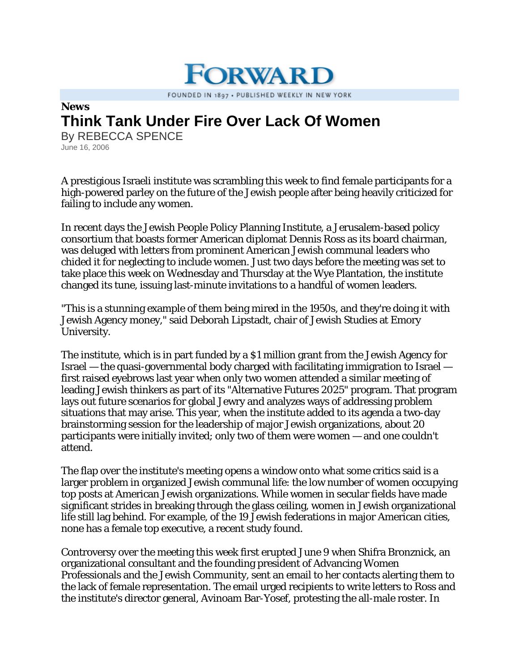## **News Think Tank Under Fire Over Lack Of Women**

By REBECCA SPENCE June 16, 2006

A prestigious Israeli institute was scrambling this week to find female participants for a high-powered parley on the future of the Jewish people after being heavily criticized for failing to include any women.

**ORWARI** 

FOUNDED IN 1897 . PUBLISHED WEEKLY IN NEW YORK

In recent days the Jewish People Policy Planning Institute, a Jerusalem-based policy consortium that boasts former American diplomat Dennis Ross as its board chairman, was deluged with letters from prominent American Jewish communal leaders who chided it for neglecting to include women. Just two days before the meeting was set to take place this week on Wednesday and Thursday at the Wye Plantation, the institute changed its tune, issuing last-minute invitations to a handful of women leaders.

"This is a stunning example of them being mired in the 1950s, and they're doing it with Jewish Agency money," said Deborah Lipstadt, chair of Jewish Studies at Emory University.

The institute, which is in part funded by a \$1 million grant from the Jewish Agency for Israel — the quasi-governmental body charged with facilitating immigration to Israel first raised eyebrows last year when only two women attended a similar meeting of leading Jewish thinkers as part of its "Alternative Futures 2025" program. That program lays out future scenarios for global Jewry and analyzes ways of addressing problem situations that may arise. This year, when the institute added to its agenda a two-day brainstorming session for the leadership of major Jewish organizations, about 20 participants were initially invited; only two of them were women — and one couldn't attend.

The flap over the institute's meeting opens a window onto what some critics said is a larger problem in organized Jewish communal life: the low number of women occupying top posts at American Jewish organizations. While women in secular fields have made significant strides in breaking through the glass ceiling, women in Jewish organizational life still lag behind. For example, of the 19 Jewish federations in major American cities, none has a female top executive, a recent study found.

Controversy over the meeting this week first erupted June 9 when Shifra Bronznick, an organizational consultant and the founding president of Advancing Women Professionals and the Jewish Community, sent an email to her contacts alerting them to the lack of female representation. The email urged recipients to write letters to Ross and the institute's director general, Avinoam Bar-Yosef, protesting the all-male roster. In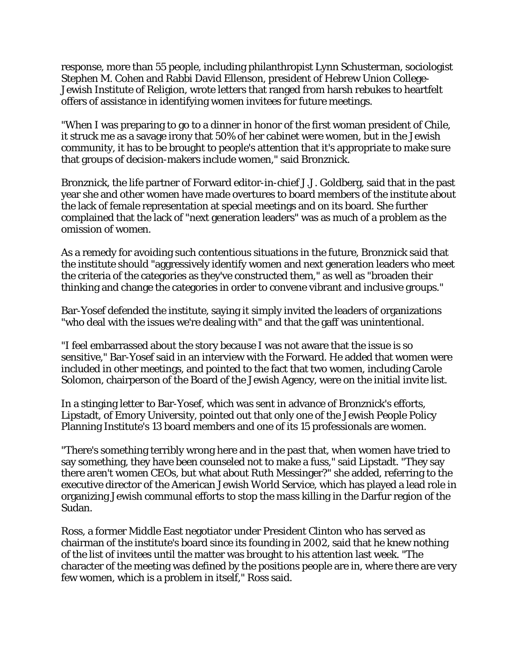response, more than 55 people, including philanthropist Lynn Schusterman, sociologist Stephen M. Cohen and Rabbi David Ellenson, president of Hebrew Union College-Jewish Institute of Religion, wrote letters that ranged from harsh rebukes to heartfelt offers of assistance in identifying women invitees for future meetings.

"When I was preparing to go to a dinner in honor of the first woman president of Chile, it struck me as a savage irony that 50% of her cabinet were women, but in the Jewish community, it has to be brought to people's attention that it's appropriate to make sure that groups of decision-makers include women," said Bronznick.

Bronznick, the life partner of Forward editor-in-chief J.J. Goldberg, said that in the past year she and other women have made overtures to board members of the institute about the lack of female representation at special meetings and on its board. She further complained that the lack of "next generation leaders" was as much of a problem as the omission of women.

As a remedy for avoiding such contentious situations in the future, Bronznick said that the institute should "aggressively identify women and next generation leaders who meet the criteria of the categories as they've constructed them," as well as "broaden their thinking and change the categories in order to convene vibrant and inclusive groups."

Bar-Yosef defended the institute, saying it simply invited the leaders of organizations "who deal with the issues we're dealing with" and that the gaff was unintentional.

"I feel embarrassed about the story because I was not aware that the issue is so sensitive," Bar-Yosef said in an interview with the Forward. He added that women were included in other meetings, and pointed to the fact that two women, including Carole Solomon, chairperson of the Board of the Jewish Agency, were on the initial invite list.

In a stinging letter to Bar-Yosef, which was sent in advance of Bronznick's efforts, Lipstadt, of Emory University, pointed out that only one of the Jewish People Policy Planning Institute's 13 board members and one of its 15 professionals are women.

"There's something terribly wrong here and in the past that, when women have tried to say something, they have been counseled not to make a fuss," said Lipstadt. "They say there aren't women CEOs, but what about Ruth Messinger?" she added, referring to the executive director of the American Jewish World Service, which has played a lead role in organizing Jewish communal efforts to stop the mass killing in the Darfur region of the Sudan.

Ross, a former Middle East negotiator under President Clinton who has served as chairman of the institute's board since its founding in 2002, said that he knew nothing of the list of invitees until the matter was brought to his attention last week. "The character of the meeting was defined by the positions people are in, where there are very few women, which is a problem in itself," Ross said.